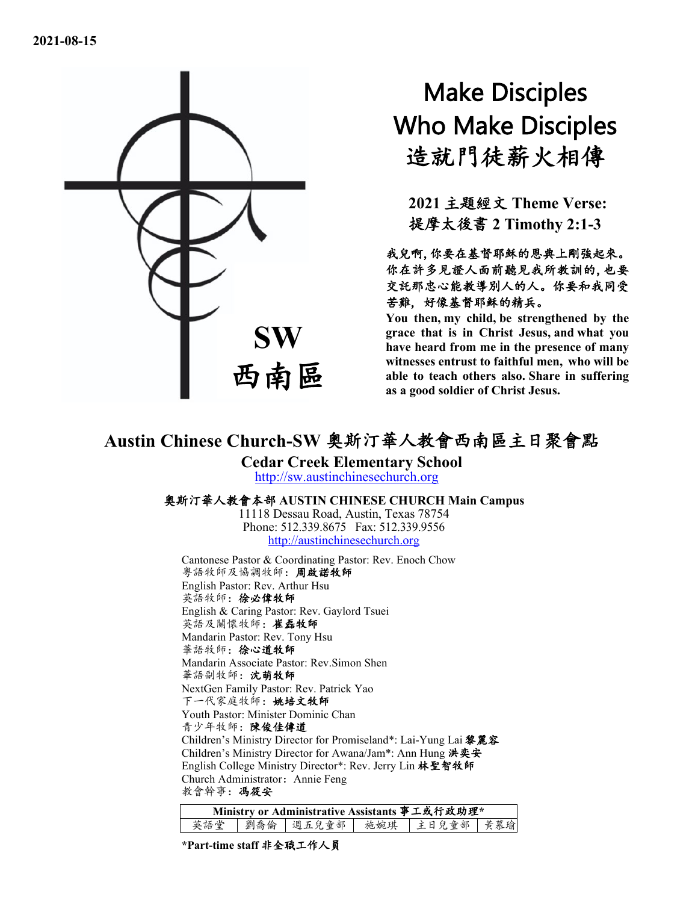

# Make Disciples Who Make Disciples 造就門徒薪火相傳

**2021** 主題經文 **Theme Verse:** 提摩太後書 **2 Timothy 2:1-3**

我兒啊,你要在基督耶穌的恩典上剛強起來。 你在許多見證人面前聽見我所教訓的,也要 交託那忠心能教導別人的人。你要和我同受 苦難, 好像基督耶穌的精兵。

**You then, my child, be strengthened by the grace that is in Christ Jesus, and what you have heard from me in the presence of many witnesses entrust to faithful men, who will be able to teach others also. Share in suffering as a good soldier of Christ Jesus.**

# **Austin Chinese Church-SW** 奧斯汀華人教會西南區主日聚會點

**Cedar Creek Elementary School** [http://sw.austinchinesechurch.org](http://sw.austinchinesechurch.org/)

#### 奧斯汀華人教會本部 **AUSTIN CHINESE CHURCH Main Campus**

11118 Dessau Road, Austin, Texas 78754 Phone: 512.339.8675 Fax: 512.339.9556 [http://austinchinesechurch.org](http://austinchinesechurch.org/)

Cantonese Pastor & Coordinating Pastor: Rev. Enoch Chow 粵語牧師及協調牧師:周啟諾牧師 English Pastor: Rev. Arthur Hsu 英語牧師:徐必偉牧師 English & Caring Pastor: Rev. Gaylord Tsuei 英語及關懷牧師:崔磊牧師 Mandarin Pastor: Rev. Tony Hsu 華語牧師:徐心道牧師 Mandarin Associate Pastor: Rev.Simon Shen 華語副牧師:沈萌牧師 NextGen Family Pastor: Rev. Patrick Yao 下一代家庭牧師:姚培文牧師 Youth Pastor: Minister Dominic Chan 青少年牧師:陳俊佳傳道 Children's Ministry Director for Promiseland\*: Lai-Yung Lai 黎麗容 Children's Ministry Director for Awana/Jam\*: Ann Hung 洪奕安 English College Ministry Director\*: Rev. Jerry Lin 林聖智牧師 Church Administrator: Annie Feng 教會幹事:馮筱安

| Ministry or Administrative Assistants 事工或行政助理* |  |  |  |                                 |  |  |  |  |
|------------------------------------------------|--|--|--|---------------------------------|--|--|--|--|
| 英語堂                                            |  |  |  | 劉喬倫   週五兒童部   施婉琪   主日兒童部   黃慕瑜 |  |  |  |  |

**\*Part-time staff** 非全職工作人員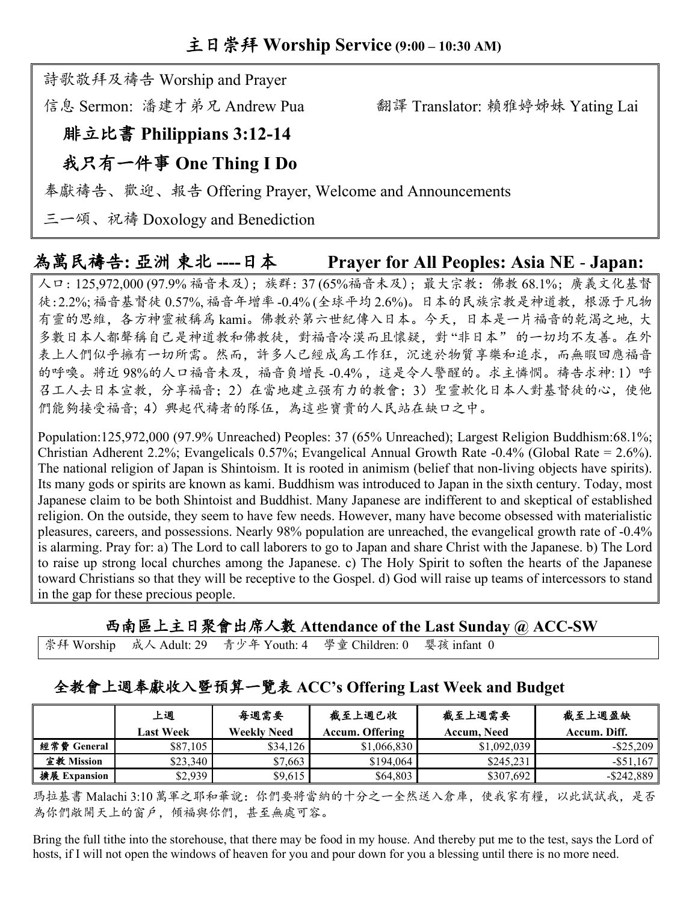## 詩歌敬拜及禱告 Worship and Prayer

信息 Sermon: 潘建才弟兄 Andrew Pua 翻譯 Translator: 賴雅婷姊妹 Yating Lai

# 腓立比書 **Philippians 3:12-14**

# 我只有一件事 **One Thing I Do**

奉獻禱告、歡迎、報告 Offering Prayer, Welcome and Announcements

三一頌、祝禱 Doxology and Benediction

# 為萬民禱告**:** 亞洲 東北 **----**日本 **Prayer for All Peoples: Asia NE** - **Japan:**

人口: 125,972,000 (97.9% 福音未及); 族群: 37 (65%福音未及); 最大宗教:佛教 68.1%; 廣義文化基督 徒:2.2%; 福音基督徒 0.57%, 福音年增率 -0.4% (全球平均 2.6%)。日本的民族宗教是神道教,根源于凡物 有靈的思維,各方神靈被稱爲 kami。佛教於第六世紀傳入日本。今天,日本是一片福音的乾渴之地, 大 多數日本人都聲稱自己是神道教和佛教徒,對福音冷漠而且懷疑,對 "非日本" 的一切均不友善。在外 表上人們似乎擁有一切所需。然而,許多人已經成爲工作狂,沉迷於物質享樂和追求,而無暇回應福音 的呼喚。將近98%的人口福音未及,福音負增長-0.4%,這是令人警醒的。求主憐憫。禱告求神:1)呼 召工人去日本宣教,分享福音;2)在當地建立强有力的教會;3)聖靈軟化日本人對基督徒的心,使他 們能夠接受福音;4)興起代禱者的隊伍,為這些寶貴的人民站在缺口之中。

Population:125,972,000 (97.9% Unreached) Peoples: 37 (65% Unreached); Largest Religion Buddhism:68.1%; Christian Adherent 2.2%; Evangelicals 0.57%; Evangelical Annual Growth Rate -0.4% (Global Rate = 2.6%). The national religion of Japan is Shintoism. It is rooted in animism (belief that non-living objects have spirits). Its many gods or spirits are known as kami. Buddhism was introduced to Japan in the sixth century. Today, most Japanese claim to be both Shintoist and Buddhist. Many Japanese are indifferent to and skeptical of established religion. On the outside, they seem to have few needs. However, many have become obsessed with materialistic pleasures, careers, and possessions. Nearly 98% population are unreached, the evangelical growth rate of -0.4% is alarming. Pray for: a) The Lord to call laborers to go to Japan and share Christ with the Japanese. b) The Lord to raise up strong local churches among the Japanese. c) The Holy Spirit to soften the hearts of the Japanese toward Christians so that they will be receptive to the Gospel. d) God will raise up teams of intercessors to stand in the gap for these precious people.

#### 西南區上主日聚會出席人數 **Attendance of the Last Sunday @ ACC-SW**

崇拜 Worship 成人 Adult: 29 青少年 Youth: 4 學童 Children: 0 婴孩 infant 0

### 全教會上週奉獻收入暨預算一覽表 **ACC's Offering Last Week and Budget**

|              | 上週        | 每週需要               | 截至上週已收                 | 截至上週需要      | 截至上週盈缺        |
|--------------|-----------|--------------------|------------------------|-------------|---------------|
|              | Last Week | <b>Weekly Need</b> | <b>Accum. Offering</b> | Accum. Need | Accum. Diff.  |
| 經常費 General  | \$87,105  | \$34,126           | \$1,066,830            | \$1,092,039 | $-$ \$25,209  |
| 宣教 Mission   | \$23,340  | \$7,663            | \$194,064              | \$245,231   | $-$ \$51.167  |
| 擴展 Expansion | \$2,939   | \$9,615            | \$64,803               | \$307,692   | $-$ \$242,889 |

瑪拉基書 Malachi 3:10 萬軍之耶和華說:你們要將當納的十分之一全然送入倉庫,使我家有糧,以此試試我,是否 為你們敞開天上的窗戶,傾福與你們,甚至無處可容。

Bring the full tithe into the storehouse, that there may be food in my house. And thereby put me to the test, says the Lord of hosts, if I will not open the windows of heaven for you and pour down for you a blessing until there is no more need.